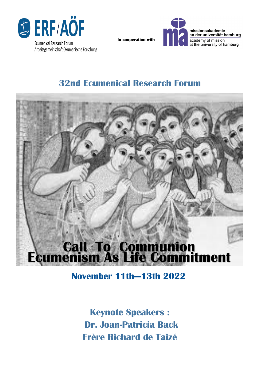

Arbeitsgemeinschaft Ökumenische Forschung



**In cooperation with** 

# **32nd Ecumenical Research Forum**



**November 11th—13th 2022**

**Keynote Speakers : Dr. Joan-Patricia Back Frère Richard de Taizé**